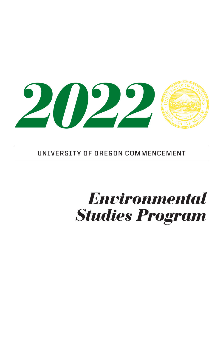

**UNIVERSITY OF OREGON COMMENCEMENT**

# *Environmental Studies Program*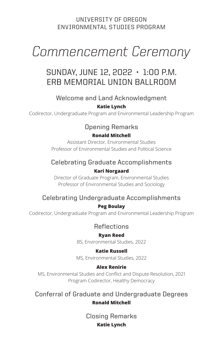#### UNIVERSITY OF OREGON ENVIRONMENTAL STUDIES PROGRAM

# *Commencement Ceremony*

### SUNDAY, JUNE 12, 2022 • 1:00 P.M. ERB MEMORIAL UNION BALLROOM

#### Welcome and Land Acknowledgment

#### **Katie Lynch**

Codirector, Undergraduate Program and Environmental Leadership Program

#### Opening Remarks

#### **Ronald Mitchell**

Assistant Director, Environmental Studies Professor of Environmental Studies and Political Science

### Celebrating Graduate Accomplishments

#### **Kari Norgaard**

Director of Graduate Program, Environmental Studies Professor of Environmental Studies and Sociology

#### Celebrating Undergraduate Accomplishments

#### **Peg Boulay**

Codirector, Undergraduate Program and Environmental Leadership Program

Reflections

#### **Ryan Reed**

BS, Environmental Studies, 2022

#### **Katie Russell**

MS, Environmental Studies, 2022

#### **Alex Renirie**

MS, Environmental Studies and Conflict and Dispute Resolution, 2021 Program Codirector, Healthy Democracy

Conferral of Graduate and Undergraduate Degrees **Ronald Mitchell**

> Closing Remarks **Katie Lynch**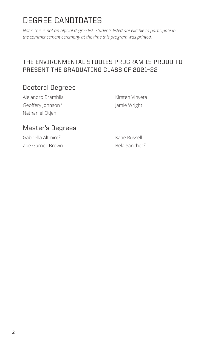### DEGREE CANDIDATES

*Note: This is not an official degree list. Students listed are eligible to participate in the commencement ceremony at the time this program was printed.*

#### THE ENVIRONMENTAL STUDIES PROGRAM IS PROUD TO PRESENT THE GRADUATING CLASS OF 2021–22

#### Doctoral Degrees

Alejandro Brambila Geoffery Johnson<sup>7</sup> Nathaniel Otjen

Kirsten Vinyeta Jamie Wright

#### Master's Degrees

Gabriella Altmire <sup>7</sup> Zoë Garnell Brown Katie Russell Bela Sánchez <sup>7</sup>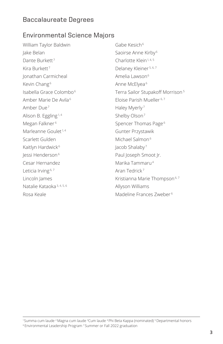#### Baccalaureate Degrees

#### Environmental Science Majors

William Taylor Baldwin Jake Belan Dante Burkett<sup>7</sup> Kira Burkett<sup>7</sup> Jonathan Carmicheal Kevin Chang<sup>6</sup> Isabella Grace Colombo<sup>6</sup> Amber Marie De Avila <sup>6</sup> Amber Due <sup>7</sup> Alison B. Eggling<sup>1,4</sup> Megan Falkner <sup>6</sup> Marleanne Goulet<sup>1,4</sup> Scarlett Gulden Kaitlyn Hardwick<sup>6</sup> Jessi Henderson<sup>6</sup> Cesar Hernandez Leticia Irving<sup>6, 7</sup> Lincoln James Natalie Kataoka 3, 4, 5, 6 Rosa Keale

Gabe Kesich<sup>6</sup> Saoirse Anne Kirby <sup>6</sup> Charlotte Klein<sup>1, 4, 5</sup> Delaney Kleiner<sup>5, 6, 7</sup> Amelia Lawson<sup>6</sup> Anne McElyea <sup>6</sup> Terra Sailor Stupakoff Morrison <sup>5</sup> Eloise Parish Mueller 6, 7 Haley Myerly <sup>7</sup> Shelby Olson<sup>7</sup> Spencer Thomas Page<sup>6</sup> Gunter Przystawik Michael Salmon<sup>6</sup> Jacob Shalaby <sup>7</sup> Paul Joseph Smoot Jr. Marika Tammaru<sup>4</sup> Aran Tedrick <sup>7</sup> Kristianna Marie Thompson<sup>6, 7</sup> Allyson Williams Madeline Frances Zweber <sup>6</sup>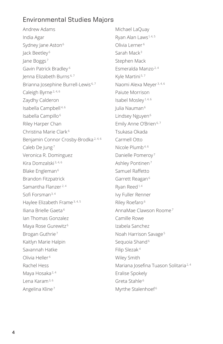#### Environmental Studies Majors

Andrew Adams India Agar Sydney Jane Aston<sup>6</sup> Jack Beetley <sup>6</sup> Jane Boggs <sup>7</sup> Gavin Patrick Bradley <sup>6</sup> Jenna Elizabeth Burns 6, 7 Brianna Josephine Burrell-Lewis<sup>6,7</sup> Caleigh Byrne<sup>2, 4, 6</sup> Zaydhy Calderon Isabella Campbell 4, 6 Isabella Campillo<sup>6</sup> Riley Harper Chan Christina Marie Clark <sup>6</sup> Benjamin Connor Crosby-Brodka 2, 4, 6 Caleb De Jung<sup>7</sup> Veronica R. Dominguez Kira Domzalski 3, 4, 6 Blake Engleman<sup>6</sup> Brandon Fitzpatrick Samantha Flanzer 2, 4 Sofi Forsman3, 4 Haylee Elizabeth Frame 3, 4, 5 Iliana Brielle Gaeta <sup>6</sup> Ian Thomas Gonzalez Maya Rose Gurewitz<sup>6</sup> Brogan Guthrie<sup>7</sup> Kaitlyn Marie Halpin Savannah Hatke Olivia Heller <sup>6</sup> Rachel Hess Maya Hosaka<sup>2, 4</sup> Lena Karam3, 6 Angelina Kline <sup>7</sup>

Michael LaQuay Ryan Alan Laws<sup>1, 4, 5</sup> Olivia Lerner <sup>6</sup> Sarah Mack<sup>3</sup> Stephen Mack Esmeralda Manzo 2, 4 Kyle Martini 5, 7 Naomi Alexa Meyer 3, 4, 6 Paiute Morrison Isabel Mosley 1, 4, 6 Julia Nauman<sup>6</sup> Lindsey Nguyen<sup>6</sup> Emily Anne O'Brien<sup>6,7</sup> Tsukasa Okada Carmell Otto Nicole Plumb<sup>4,6</sup> Danielle Pomeroy<sup>7</sup> Ashley Pontinen<sup>7</sup> Samuel Raffetto Garrett Reagan<sup>6</sup> Ryan Reed<sup>1,4</sup> Ivy Fuller Renner Riley Roefaro<sup>6</sup> AnnaMae Clawson Roome <sup>7</sup> Camille Rowe Izabela Sanchez Noah Harrison Savage <sup>5</sup> Sequoia Shand<sup>6</sup> Filip Slezak <sup>4</sup> Wiley Smith Mariana Josefina Tuason Solitaria<sup>2, 4</sup> Eralise Spokely Greta Stahle <sup>6</sup> Myrthe Stalenhoef<sup>6</sup>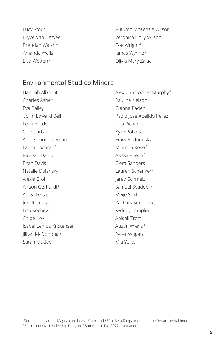Lucy Stout<sup>7</sup> Bryce Van Derveer Brendan Walsh<sup>4</sup> Amanda Wells Elsa Wetten<sup>7</sup>

Autumn McKenzie Wilson Veronica Holly Wilson Zoe Wright<sup>4</sup> James Wynne <sup>4</sup> Olivia Mary Zajac<sup>6</sup>

#### Environmental Studies Minors

Hannah Albright Charles Asher Eva Bailey Collin Edward Bell Leah Borden Cole Carlston Annie Christofferson Laura Cochran7 Morgan Darby<sup>1</sup> Eitan Davis Natalie Dulansky Alexia Eroh Allison Gerhardt <sup>6</sup> Abigail Gisler Joel Itomura <sup>7</sup> Lisa Kochevar Chloe Kov Isabel Lemus Kristensen Jillian McDonough Sarah McGee<sup>7</sup>

Alex Christopher Murphy <sup>6</sup> Paulina Nelson Gianna Paden Paolo Jose Abelido Perez Julia Richards Kylie Robinson<sup>7</sup> Emily Rodnunsky Miranda Roso<sup>6</sup> Alyssa Rueda <sup>7</sup> Ciera Sanders Lauren Schenker<sup>7</sup> Jared Schmelz <sup>7</sup> Samuel Scudder <sup>7</sup> Meije Smith Zachary Sundborg Sydney Tamplin Abigail Trom Austin Wiens <sup>7</sup> Peter Wogan Mia Yerton7

<sup>1</sup>Summa cum laude 2 Magna cum laude 3 Cum laude <sup>4</sup>Phi Beta Kappa (nominated) <sup>5</sup>Departmental honors 6 Environmental Leadership Program 7 Summer or Fall 2022 graduation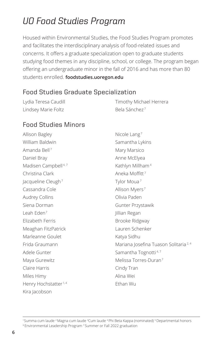## *UO Food Studies Program*

Housed within Environmental Studies, the Food Studies Program promotes and facilitates the interdisciplinary analysis of food-related issues and concerns. It offers a graduate specialization open to graduate students studying food themes in any discipline, school, or college. The program began offering an undergraduate minor in the fall of 2016 and has more than 80 students enrolled. **foodstudies.uoregon.edu**

#### Food Studies Graduate Specialization

| Lydia Teresa Caudill | Timothy Michael Herrera   |
|----------------------|---------------------------|
| Lindsey Marie Foltz  | Bela Sánchez <sup>7</sup> |

#### Food Studies Minors

Allison Bagley William Baldwin Amanda Bell <sup>7</sup> Daniel Bray Madisen Campbell<sup>4,7</sup> Christina Clark lacqueline Cleugh<sup>7</sup> Cassandra Cole Audrey Collins Siena Dorman Leah Eden7 Elizabeth Ferris Meaghan FitzPatrick Marleanne Goulet Frida Graumann Adele Gunter Maya Gurewitz Claire Harris Miles Himy Henry Hochstatter<sup>1,4</sup> Kira Jacobson Nicole Lang <sup>7</sup> Samantha Lykins Mary Marsico Anne McElyea Kathlyn Millham<sup>4</sup> Aneka Moffitt <sup>7</sup> Tylor Moua <sup>7</sup> Allison Myers <sup>7</sup> Olivia Paden Gunter Przystawik Jillian Regan Brooke Ridgway Lauren Schenker Katya Sidhu Mariana Josefina Tuason Solitaria 2, 4 Samantha Tognotti<sup>4,7</sup> Melissa Torres-Duran<sup>7</sup> Cindy Tran Alina Wei Ethan Wu

<sup>1</sup>Summa cum laude 2 Magna cum laude 3 Cum laude <sup>4</sup>Phi Beta Kappa (nominated) <sup>5</sup>Departmental honors 6 Environmental Leadership Program 7 Summer or Fall 2022 graduation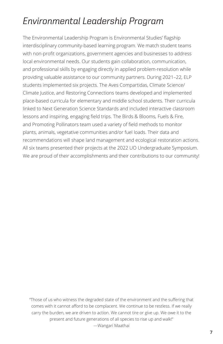### *Environmental Leadership Program*

The Environmental Leadership Program is Environmental Studies' flagship interdisciplinary community-based learning program. We match student teams with non-profit organizations, government agencies and businesses to address local environmental needs. Our students gain collaboration, communication, and professional skills by engaging directly in applied problem-resolution while providing valuable assistance to our community partners. During 2021–22, ELP students implemented six projects. The Aves Compartidas, Climate Science/ Climate Justice, and Restoring Connections teams developed and implemented place-based curricula for elementary and middle school students. Their curricula linked to Next Generation Science Standards and included interactive classroom lessons and inspiring, engaging field trips. The Birds & Blooms, Fuels & Fire, and Promoting Pollinators team used a variety of field methods to monitor plants, animals, vegetative communities and/or fuel loads. Their data and recommendations will shape land management and ecological restoration actions. All six teams presented their projects at the 2022 UO Undergraduate Symposium. We are proud of their accomplishments and their contributions to our community!

"Those of us who witness the degraded state of the environment and the suffering that comes with it cannot afford to be complacent. We continue to be restless. If we really carry the burden, we are driven to action. We cannot tire or give up. We owe it to the present and future generations of all species to rise up and walk!" —Wangari Maathai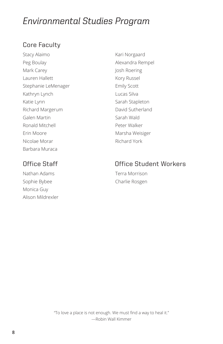### *Environmental Studies Program*

#### Core Faculty

Stacy Alaimo Peg Boulay Mark Carey Lauren Hallett Stephanie LeMenager Kathryn Lynch Katie Lynn Richard Margerum Galen Martin Ronald Mitchell Erin Moore Nicolae Morar Barbara Muraca

Nathan Adams Sophie Bybee Monica Guy Alison Mildrexler

Kari Norgaard Alexandra Rempel Josh Roering Kory Russel Emily Scott Lucas Silva Sarah Stapleton David Sutherland Sarah Wald Peter Walker Marsha Weisiger Richard York

#### Office Staff Office Student Workers

Terra Morrison Charlie Rosgen

"To love a place is not enough. We must find a way to heal it." —Robin Wall Kimmer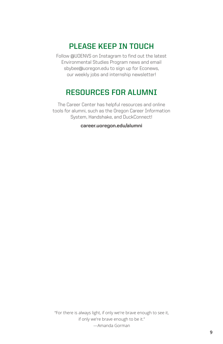#### **PLEASE KEEP IN TOUCH**

Follow @UOENVS on Instagram to find out the latest Environmental Studies Program news and email sbybee@uoregon.edu to sign up for Econews, our weekly jobs and internship newsletter!

#### **RESOURCES FOR ALUMNI**

The Career Center has helpful resources and online tools for alumni, such as the Oregon Career Information System, Handshake, and DuckConnect!

**career.uoregon.edu/alumni**

"For there is always light, if only we're brave enough to see it, if only we're brave enough to be it." —Amanda Gorman